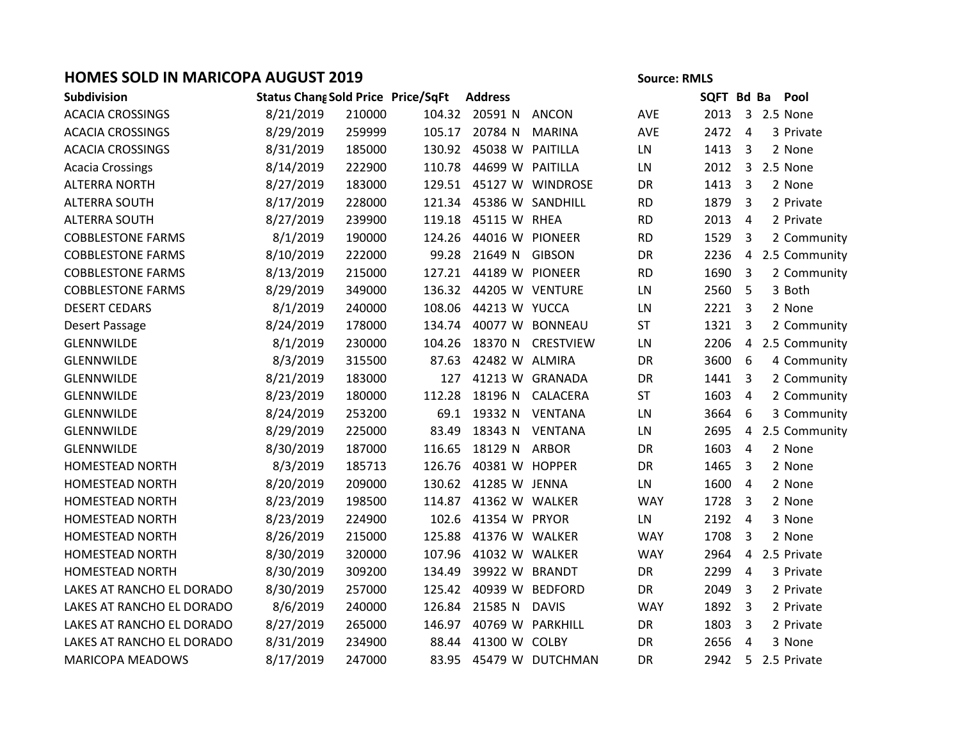## **HOMES SOLD IN MARICOPA AUGUST 2019 Source: RMLS** Source: RMLS

| Source: RMLS |  |  |
|--------------|--|--|
|              |  |  |

| Subdivision               | <b>Status Chang Sold Price Price/SqFt</b> |        |        | <b>Address</b>            |                         |            | SQFT Bd Ba |                         |               | Pool            |
|---------------------------|-------------------------------------------|--------|--------|---------------------------|-------------------------|------------|------------|-------------------------|---------------|-----------------|
| <b>ACACIA CROSSINGS</b>   | 8/21/2019                                 | 210000 |        | 104.32 20591 N            | ANCON                   | <b>AVE</b> | 2013       |                         | 3 2.5 None    |                 |
| <b>ACACIA CROSSINGS</b>   | 8/29/2019                                 | 259999 |        | 105.17 20784 N            | <b>MARINA</b>           | AVE        | 2472       | 4                       |               | 3 Private       |
| <b>ACACIA CROSSINGS</b>   | 8/31/2019                                 | 185000 |        | 130.92  45038 W  PAITILLA |                         | LN         | 1413       | 3                       |               | 2 None          |
| <b>Acacia Crossings</b>   | 8/14/2019                                 | 222900 | 110.78 | 44699 W PAITILLA          |                         | LN         | 2012       | $\overline{3}$          | 2.5 None      |                 |
| <b>ALTERRA NORTH</b>      | 8/27/2019                                 | 183000 |        |                           | 129.51 45127 W WINDROSE | DR         | 1413       | 3                       |               | 2 None          |
| <b>ALTERRA SOUTH</b>      | 8/17/2019                                 | 228000 | 121.34 |                           | 45386 W SANDHILL        | <b>RD</b>  | 1879       | 3                       |               | 2 Private       |
| <b>ALTERRA SOUTH</b>      | 8/27/2019                                 | 239900 | 119.18 | 45115 W RHEA              |                         | <b>RD</b>  | 2013       | $\overline{4}$          |               | 2 Private       |
| <b>COBBLESTONE FARMS</b>  | 8/1/2019                                  | 190000 | 124.26 | 44016 W PIONEER           |                         | <b>RD</b>  | 1529       | 3                       |               | 2 Community     |
| <b>COBBLESTONE FARMS</b>  | 8/10/2019                                 | 222000 | 99.28  | 21649 N GIBSON            |                         | DR         | 2236       |                         |               | 4 2.5 Community |
| <b>COBBLESTONE FARMS</b>  | 8/13/2019                                 | 215000 |        | 127.21 44189 W PIONEER    |                         | <b>RD</b>  | 1690       | 3                       |               | 2 Community     |
| <b>COBBLESTONE FARMS</b>  | 8/29/2019                                 | 349000 |        | 136.32 44205 W VENTURE    |                         | LN         | 2560       | 5                       | 3 Both        |                 |
| <b>DESERT CEDARS</b>      | 8/1/2019                                  | 240000 | 108.06 | 44213 W YUCCA             |                         | ${\sf LN}$ | 2221       | $\overline{\mathbf{3}}$ |               | 2 None          |
| Desert Passage            | 8/24/2019                                 | 178000 | 134.74 |                           | 40077 W BONNEAU         | ST         | 1321       | 3                       |               | 2 Community     |
| GLENNWILDE                | 8/1/2019                                  | 230000 | 104.26 |                           | 18370 N CRESTVIEW       | LN         | 2206       | $\overline{4}$          |               | 2.5 Community   |
| GLENNWILDE                | 8/3/2019                                  | 315500 | 87.63  | 42482 W ALMIRA            |                         | DR         | 3600       | 6                       |               | 4 Community     |
| GLENNWILDE                | 8/21/2019                                 | 183000 | 127    |                           | 41213 W GRANADA         | DR         | 1441       | $\overline{3}$          |               | 2 Community     |
| GLENNWILDE                | 8/23/2019                                 | 180000 | 112.28 |                           | 18196 N CALACERA        | <b>ST</b>  | 1603       | $\overline{4}$          |               | 2 Community     |
| GLENNWILDE                | 8/24/2019                                 | 253200 |        | 69.1 19332 N VENTANA      |                         | LN         | 3664       | 6                       |               | 3 Community     |
| <b>GLENNWILDE</b>         | 8/29/2019                                 | 225000 | 83.49  | 18343 N                   | <b>VENTANA</b>          | ${\sf LN}$ | 2695       | 4                       |               | 2.5 Community   |
| GLENNWILDE                | 8/30/2019                                 | 187000 | 116.65 | 18129 N                   | <b>ARBOR</b>            | DR         | 1603       | 4                       |               | 2 None          |
| <b>HOMESTEAD NORTH</b>    | 8/3/2019                                  | 185713 | 126.76 | 40381 W HOPPER            |                         | DR         | 1465       | $\overline{3}$          |               | 2 None          |
| <b>HOMESTEAD NORTH</b>    | 8/20/2019                                 | 209000 |        | 130.62 41285 W JENNA      |                         | LN         | 1600       | $\overline{4}$          |               | 2 None          |
| HOMESTEAD NORTH           | 8/23/2019                                 | 198500 | 114.87 | 41362 W WALKER            |                         | <b>WAY</b> | 1728       | 3                       |               | 2 None          |
| HOMESTEAD NORTH           | 8/23/2019                                 | 224900 | 102.6  | 41354 W PRYOR             |                         | LN         | 2192       | $\overline{4}$          |               | 3 None          |
| <b>HOMESTEAD NORTH</b>    | 8/26/2019                                 | 215000 | 125.88 | 41376 W WALKER            |                         | <b>WAY</b> | 1708       | 3                       |               | 2 None          |
| <b>HOMESTEAD NORTH</b>    | 8/30/2019                                 | 320000 | 107.96 | 41032 W WALKER            |                         | <b>WAY</b> | 2964       | 4                       | 2.5 Private   |                 |
| HOMESTEAD NORTH           | 8/30/2019                                 | 309200 | 134.49 | 39922 W BRANDT            |                         | DR         | 2299       | 4                       |               | 3 Private       |
| LAKES AT RANCHO EL DORADO | 8/30/2019                                 | 257000 |        | 125.42  40939  W  BEDFORD |                         | DR         | 2049       | 3                       |               | 2 Private       |
| LAKES AT RANCHO EL DORADO | 8/6/2019                                  | 240000 | 126.84 | 21585 N                   | <b>DAVIS</b>            | <b>WAY</b> | 1892       | 3                       |               | 2 Private       |
| LAKES AT RANCHO EL DORADO | 8/27/2019                                 | 265000 | 146.97 |                           | 40769 W PARKHILL        | DR         | 1803       | 3                       |               | 2 Private       |
| LAKES AT RANCHO EL DORADO | 8/31/2019                                 | 234900 | 88.44  | 41300 W COLBY             |                         | DR         | 2656       | 4                       |               | 3 None          |
| <b>MARICOPA MEADOWS</b>   | 8/17/2019                                 | 247000 |        |                           | 83.95 45479 W DUTCHMAN  | DR         | 2942       |                         | 5 2.5 Private |                 |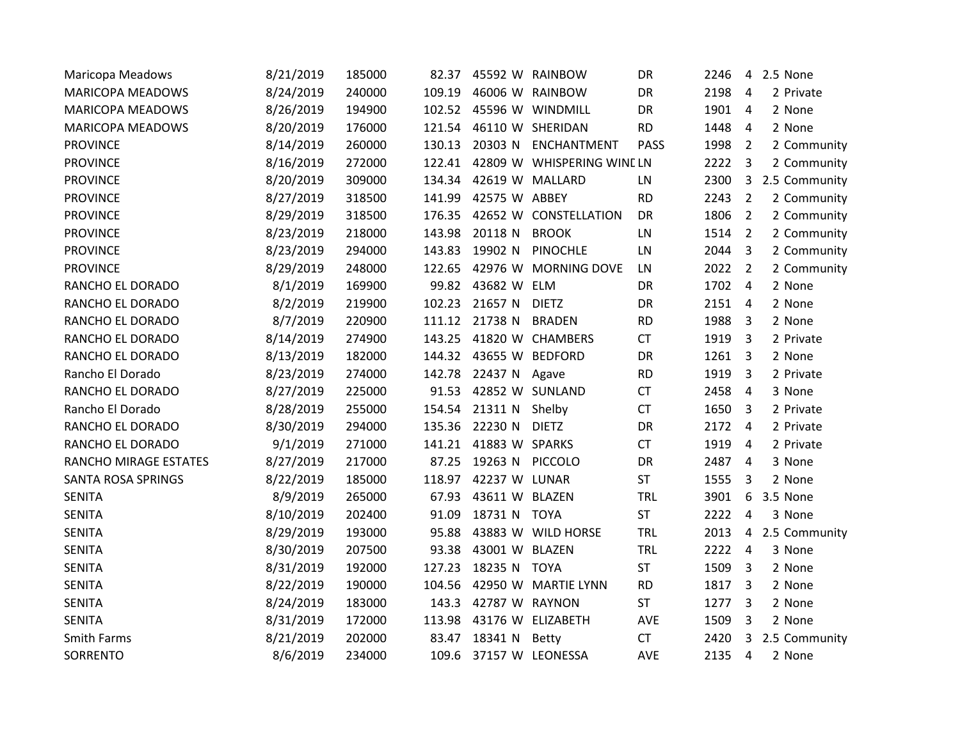| Maricopa Meadows        | 8/21/2019 | 185000 | 82.37  |                | 45592 W RAINBOW            | DR          | 2246   | $\overline{4}$          | 2.5 None        |
|-------------------------|-----------|--------|--------|----------------|----------------------------|-------------|--------|-------------------------|-----------------|
| <b>MARICOPA MEADOWS</b> | 8/24/2019 | 240000 | 109.19 |                | 46006 W RAINBOW            | DR          | 2198   | $\overline{4}$          | 2 Private       |
| <b>MARICOPA MEADOWS</b> | 8/26/2019 | 194900 | 102.52 |                | 45596 W WINDMILL           | DR          | 1901   | $\overline{4}$          | 2 None          |
| <b>MARICOPA MEADOWS</b> | 8/20/2019 | 176000 | 121.54 |                | 46110 W SHERIDAN           | <b>RD</b>   | 1448   | $\overline{4}$          | 2 None          |
| <b>PROVINCE</b>         | 8/14/2019 | 260000 | 130.13 | 20303 N        | ENCHANTMENT                | <b>PASS</b> | 1998   | $\overline{2}$          | 2 Community     |
| <b>PROVINCE</b>         | 8/16/2019 | 272000 | 122.41 |                | 42809 W WHISPERING WINE LN |             | 2222   | 3                       | 2 Community     |
| <b>PROVINCE</b>         | 8/20/2019 | 309000 | 134.34 |                | 42619 W MALLARD            | LN          | 2300   | $\overline{3}$          | 2.5 Community   |
| <b>PROVINCE</b>         | 8/27/2019 | 318500 | 141.99 | 42575 W ABBEY  |                            | <b>RD</b>   | 2243   | $\overline{2}$          | 2 Community     |
| <b>PROVINCE</b>         | 8/29/2019 | 318500 | 176.35 |                | 42652 W CONSTELLATION      | DR          | 1806   | $\overline{2}$          | 2 Community     |
| <b>PROVINCE</b>         | 8/23/2019 | 218000 | 143.98 | 20118 N        | <b>BROOK</b>               | LN          | 1514 2 |                         | 2 Community     |
| <b>PROVINCE</b>         | 8/23/2019 | 294000 | 143.83 | 19902 N        | <b>PINOCHLE</b>            | LN          | 2044   | $\overline{3}$          | 2 Community     |
| <b>PROVINCE</b>         | 8/29/2019 | 248000 | 122.65 |                | 42976 W MORNING DOVE       | LN          | 2022   | $\overline{2}$          | 2 Community     |
| RANCHO EL DORADO        | 8/1/2019  | 169900 | 99.82  | 43682 W ELM    |                            | DR          | 1702   | $\overline{4}$          | 2 None          |
| RANCHO EL DORADO        | 8/2/2019  | 219900 | 102.23 | 21657 N        | <b>DIETZ</b>               | DR          | 2151   | $\overline{4}$          | 2 None          |
| RANCHO EL DORADO        | 8/7/2019  | 220900 | 111.12 | 21738 N        | <b>BRADEN</b>              | <b>RD</b>   | 1988   | $\overline{3}$          | 2 None          |
| RANCHO EL DORADO        | 8/14/2019 | 274900 | 143.25 |                | 41820 W CHAMBERS           | <b>CT</b>   | 1919   | $\overline{3}$          | 2 Private       |
| RANCHO EL DORADO        | 8/13/2019 | 182000 | 144.32 |                | 43655 W BEDFORD            | DR          | 1261   | $\overline{\mathbf{3}}$ | 2 None          |
| Rancho El Dorado        | 8/23/2019 | 274000 | 142.78 | 22437 N        | Agave                      | <b>RD</b>   | 1919   | $\overline{3}$          | 2 Private       |
| RANCHO EL DORADO        | 8/27/2019 | 225000 | 91.53  |                | 42852 W SUNLAND            | CT          | 2458   | $\overline{4}$          | 3 None          |
| Rancho El Dorado        | 8/28/2019 | 255000 | 154.54 | 21311 N Shelby |                            | CT          | 1650   | $\overline{3}$          | 2 Private       |
| RANCHO EL DORADO        | 8/30/2019 | 294000 | 135.36 | 22230 N        | <b>DIETZ</b>               | DR          | 2172   | $\overline{4}$          | 2 Private       |
| RANCHO EL DORADO        | 9/1/2019  | 271000 | 141.21 | 41883 W SPARKS |                            | CT          | 1919   | $\overline{4}$          | 2 Private       |
| RANCHO MIRAGE ESTATES   | 8/27/2019 | 217000 | 87.25  | 19263 N        | <b>PICCOLO</b>             | DR          | 2487   | $\overline{4}$          | 3 None          |
| SANTA ROSA SPRINGS      | 8/22/2019 | 185000 | 118.97 | 42237 W LUNAR  |                            | ST          | 1555   | $\overline{3}$          | 2 None          |
| <b>SENITA</b>           | 8/9/2019  | 265000 | 67.93  | 43611 W BLAZEN |                            | <b>TRL</b>  | 3901   | 6                       | 3.5 None        |
| <b>SENITA</b>           | 8/10/2019 | 202400 | 91.09  | 18731 N TOYA   |                            | <b>ST</b>   | 2222   | $\overline{4}$          | 3 None          |
| <b>SENITA</b>           | 8/29/2019 | 193000 | 95.88  |                | 43883 W WILD HORSE         | <b>TRL</b>  | 2013   |                         | 4 2.5 Community |
| <b>SENITA</b>           | 8/30/2019 | 207500 | 93.38  | 43001 W BLAZEN |                            | <b>TRL</b>  | 2222   | $\overline{4}$          | 3 None          |
| <b>SENITA</b>           | 8/31/2019 | 192000 | 127.23 | 18235 N TOYA   |                            | <b>ST</b>   | 1509   | $\overline{3}$          | 2 None          |
| <b>SENITA</b>           | 8/22/2019 | 190000 | 104.56 |                | 42950 W MARTIE LYNN        | <b>RD</b>   | 1817   | $\overline{3}$          | 2 None          |
| <b>SENITA</b>           | 8/24/2019 | 183000 | 143.3  | 42787 W RAYNON |                            | <b>ST</b>   | 1277   | $\overline{3}$          | 2 None          |
| <b>SENITA</b>           | 8/31/2019 | 172000 | 113.98 |                | 43176 W ELIZABETH          | AVE         | 1509   | 3                       | 2 None          |
| Smith Farms             | 8/21/2019 | 202000 | 83.47  | 18341 N        | Betty                      | <b>CT</b>   | 2420   | $\mathbf{3}$            | 2.5 Community   |
| SORRENTO                | 8/6/2019  | 234000 | 109.6  |                | 37157 W LEONESSA           | AVE         | 2135   | 4                       | 2 None          |